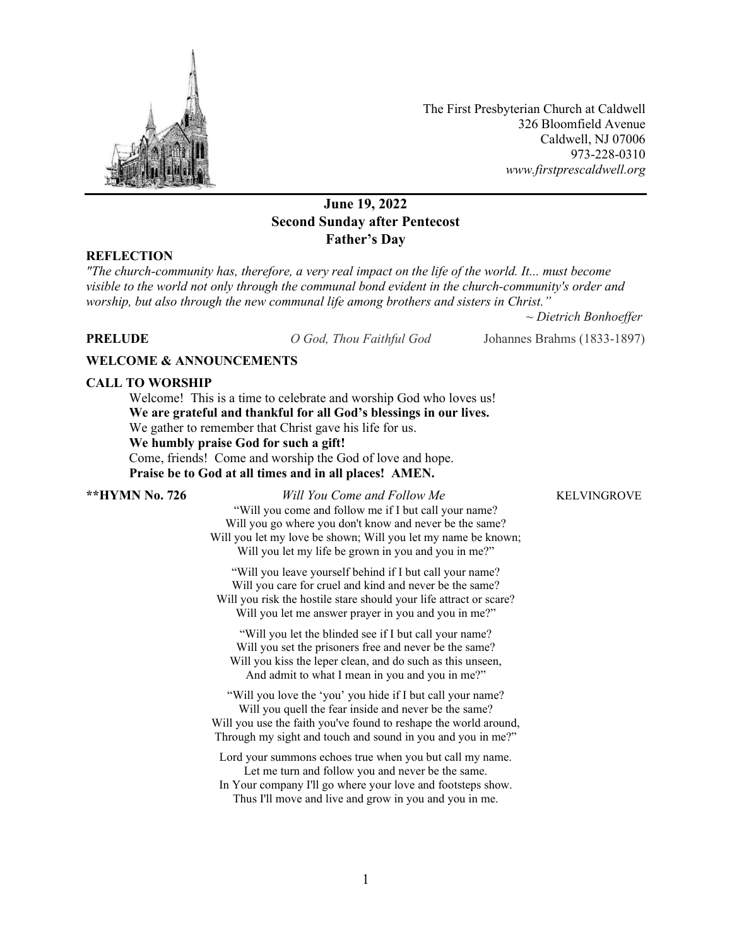

The First Presbyterian Church at Caldwell 326 Bloomfield Avenue Caldwell, NJ 07006 973-228-0310 *www.firstprescaldwell.org*

# **June 19, 2022 Second Sunday after Pentecost Father's Day**

## **REFLECTION**

*"The church-community has, therefore, a very real impact on the life of the world. It... must become visible to the world not only through the communal bond evident in the church-community's order and worship, but also through the new communal life among brothers and sisters in Christ."*

*~ Dietrich Bonhoeffer* 

**PRELUDE** *O God, Thou Faithful God* Johannes Brahms (1833-1897)

### **WELCOME & ANNOUNCEMENTS**

### **CALL TO WORSHIP**

Welcome! This is a time to celebrate and worship God who loves us! **We are grateful and thankful for all God's blessings in our lives.** We gather to remember that Christ gave his life for us. **We humbly praise God for such a gift!** Come, friends! Come and worship the God of love and hope. **Praise be to God at all times and in all places! AMEN.**

**\*\*HYMN No. 726** *Will You Come and Follow Me* KELVINGROVE "Will you come and follow me if I but call your name? Will you go where you don't know and never be the same? Will you let my love be shown; Will you let my name be known; Will you let my life be grown in you and you in me?"

> "Will you leave yourself behind if I but call your name? Will you care for cruel and kind and never be the same? Will you risk the hostile stare should your life attract or scare? Will you let me answer prayer in you and you in me?"

"Will you let the blinded see if I but call your name? Will you set the prisoners free and never be the same? Will you kiss the leper clean, and do such as this unseen, And admit to what I mean in you and you in me?"

"Will you love the 'you' you hide if I but call your name? Will you quell the fear inside and never be the same? Will you use the faith you've found to reshape the world around, Through my sight and touch and sound in you and you in me?"

Lord your summons echoes true when you but call my name. Let me turn and follow you and never be the same. In Your company I'll go where your love and footsteps show.

Thus I'll move and live and grow in you and you in me.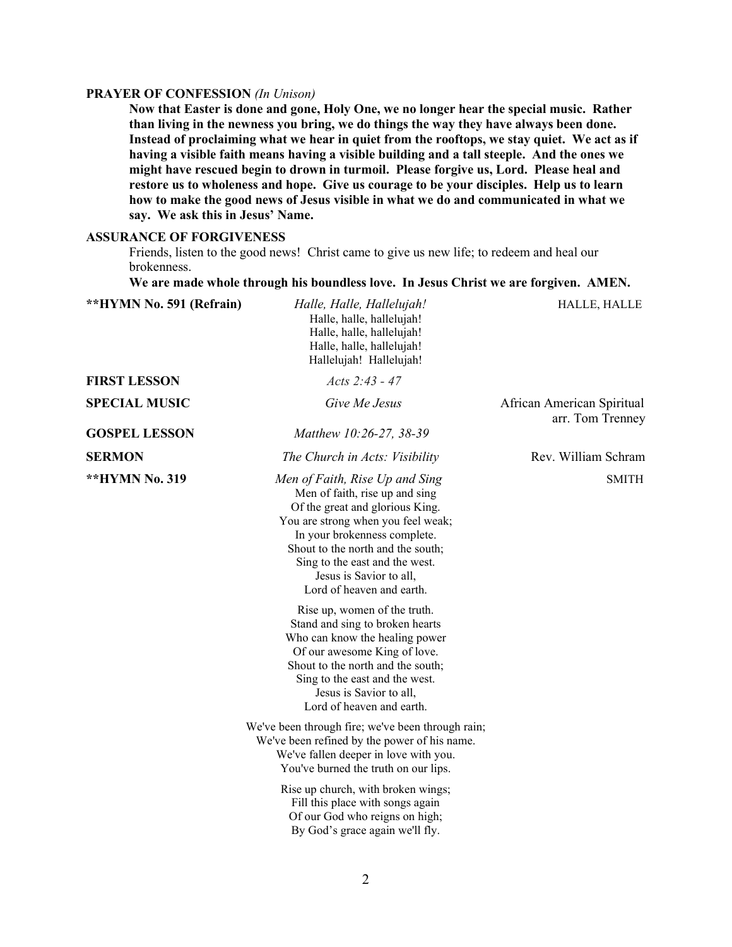### **PRAYER OF CONFESSION** *(In Unison)*

**Now that Easter is done and gone, Holy One, we no longer hear the special music. Rather than living in the newness you bring, we do things the way they have always been done. Instead of proclaiming what we hear in quiet from the rooftops, we stay quiet. We act as if having a visible faith means having a visible building and a tall steeple. And the ones we might have rescued begin to drown in turmoil. Please forgive us, Lord. Please heal and restore us to wholeness and hope. Give us courage to be your disciples. Help us to learn how to make the good news of Jesus visible in what we do and communicated in what we say. We ask this in Jesus' Name.**

### **ASSURANCE OF FORGIVENESS**

Friends, listen to the good news! Christ came to give us new life; to redeem and heal our brokenness.

**We are made whole through his boundless love. In Jesus Christ we are forgiven. AMEN.**

| <b>**HYMN No. 591 (Refrain)</b> | Halle, Halle, Hallelujah!<br>Halle, halle, hallelujah!<br>Halle, halle, hallelujah!<br>Halle, halle, hallelujah!<br>Hallelujah! Hallelujah!                                                                                                                                                              | HALLE, HALLE                                   |
|---------------------------------|----------------------------------------------------------------------------------------------------------------------------------------------------------------------------------------------------------------------------------------------------------------------------------------------------------|------------------------------------------------|
| <b>FIRST LESSON</b>             | Acts $2:43 - 47$                                                                                                                                                                                                                                                                                         |                                                |
| <b>SPECIAL MUSIC</b>            | Give Me Jesus                                                                                                                                                                                                                                                                                            | African American Spiritual<br>arr. Tom Trenney |
| <b>GOSPEL LESSON</b>            | Matthew 10:26-27, 38-39                                                                                                                                                                                                                                                                                  |                                                |
| <b>SERMON</b>                   | The Church in Acts: Visibility                                                                                                                                                                                                                                                                           | Rev. William Schram                            |
| **HYMN No. 319                  | Men of Faith, Rise Up and Sing<br>Men of faith, rise up and sing<br>Of the great and glorious King.<br>You are strong when you feel weak;<br>In your brokenness complete.<br>Shout to the north and the south;<br>Sing to the east and the west.<br>Jesus is Savior to all,<br>Lord of heaven and earth. | <b>SMITH</b>                                   |
|                                 | Rise up, women of the truth.<br>Stand and sing to broken hearts<br>Who can know the healing power<br>Of our awesome King of love.<br>Shout to the north and the south;<br>Sing to the east and the west.<br>Jesus is Savior to all,<br>Lord of heaven and earth.                                         |                                                |
|                                 | We've been through fire; we've been through rain;<br>We've been refined by the power of his name.<br>We've fallen deeper in love with you.<br>You've burned the truth on our lips.                                                                                                                       |                                                |
|                                 | Rise up church, with broken wings;<br>Fill this place with songs again<br>Of our God who reigns on high;<br>By God's grace again we'll fly.                                                                                                                                                              |                                                |